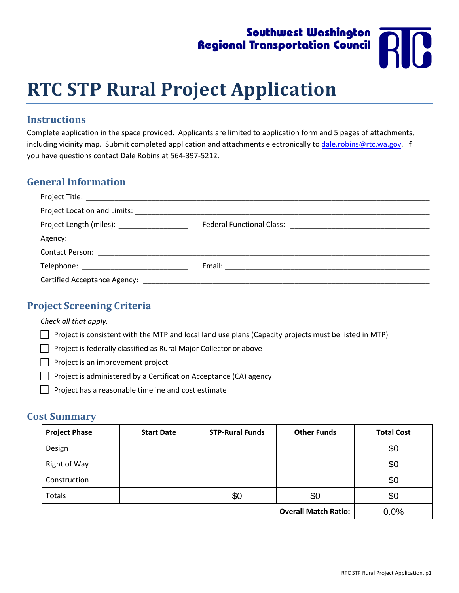# Southwest Washington **Regional Transportation Council**



# **RTC STP Rural Project Application**

#### **Instructions**

Complete application in the space provided. Applicants are limited to application form and 5 pages of attachments, including vicinity map. Submit completed application and attachments electronically to dale.robins@rtc.wa.gov. If you have questions contact Dale Robins at 564‐397‐5212.

### **General Information**

| Project Length (miles): ____________________ |  |
|----------------------------------------------|--|
|                                              |  |
|                                              |  |
|                                              |  |
|                                              |  |

## **Project Screening Criteria**

*Check all that apply.*

- $\Box$  Project is consistent with the MTP and local land use plans (Capacity projects must be listed in MTP)
- $\Box$  Project is federally classified as Rural Major Collector or above
- $\Box$  Project is an improvement project
- $\Box$  Project is administered by a Certification Acceptance (CA) agency
- $\Box$  Project has a reasonable timeline and cost estimate

#### **Cost Summary**

| <b>Project Phase</b>        | <b>Start Date</b> | <b>STP-Rural Funds</b> | <b>Other Funds</b> | <b>Total Cost</b> |
|-----------------------------|-------------------|------------------------|--------------------|-------------------|
| Design                      |                   |                        |                    | \$0               |
| Right of Way                |                   |                        |                    | \$0               |
| Construction                |                   |                        |                    | \$0               |
| Totals                      |                   | \$0                    | \$0                | \$0               |
| <b>Overall Match Ratio:</b> |                   |                        |                    | 0.0%              |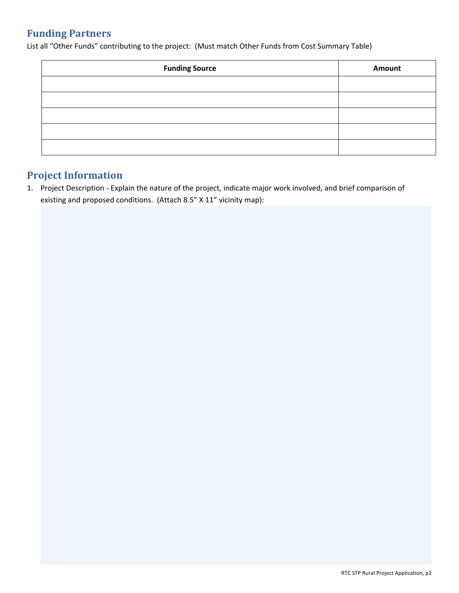# **Funding Partners**

List all "Other Funds" contributing to the project: (Must match Other Funds from Cost Summary Table)

| <b>Funding Source</b> | Amount |
|-----------------------|--------|
|                       |        |
|                       |        |
|                       |        |
|                       |        |
|                       |        |

# **Project Information**

1. Project Description ‐ Explain the nature of the project, indicate major work involved, and brief comparison of existing and proposed conditions. (Attach 8.5" X 11" vicinity map):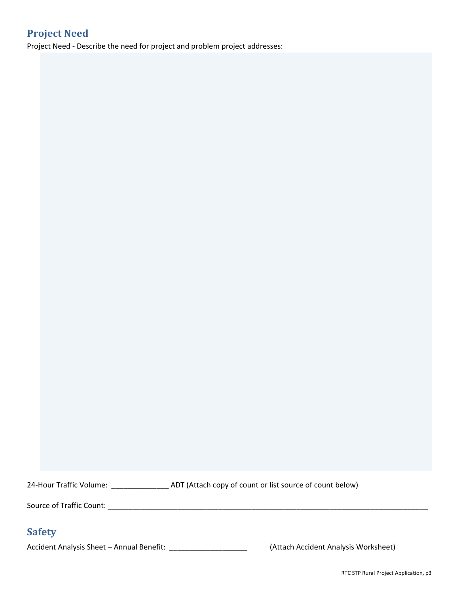# **Project Need**

Project Need ‐ Describe the need for project and problem project addresses:

24-Hour Traffic Volume: \_\_\_\_\_\_\_\_\_\_\_\_\_\_\_\_\_\_\_ ADT (Attach copy of count or list source of count below)

Source of Traffic Count: \_\_\_\_\_\_\_\_\_\_\_\_\_\_\_\_\_\_\_\_\_\_\_\_\_\_\_\_\_\_\_\_\_\_\_\_\_\_\_\_\_\_\_\_\_\_\_\_\_\_\_\_\_\_\_\_\_\_\_\_\_\_\_\_\_\_\_\_\_\_\_\_\_\_\_\_\_\_

# **Safety**

Accident Analysis Sheet – Annual Benefit: \_\_\_\_\_\_\_\_\_\_\_\_\_\_\_\_\_\_\_\_\_\_\_\_\_(Attach Accident Analysis Worksheet)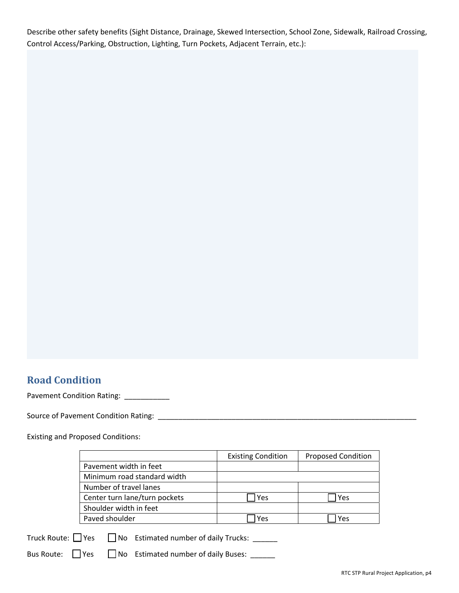Describe other safety benefits (Sight Distance, Drainage, Skewed Intersection, School Zone, Sidewalk, Railroad Crossing, Control Access/Parking, Obstruction, Lighting, Turn Pockets, Adjacent Terrain, etc.):

## **Road Condition**

Pavement Condition Rating: \_\_\_\_\_\_\_\_\_\_

Source of Pavement Condition Rating: \_\_\_\_\_\_\_\_\_\_\_\_\_\_\_\_\_\_\_\_\_\_\_\_\_\_\_\_\_\_\_\_\_\_\_\_\_\_\_\_\_\_\_\_\_\_\_\_\_\_\_\_\_\_\_\_\_\_\_\_\_\_\_

Existing and Proposed Conditions:

|                               | <b>Existing Condition</b> | <b>Proposed Condition</b> |
|-------------------------------|---------------------------|---------------------------|
| Pavement width in feet        |                           |                           |
| Minimum road standard width   |                           |                           |
| Number of travel lanes        |                           |                           |
| Center turn lane/turn pockets | Yes                       | Yes                       |
| Shoulder width in feet        |                           |                           |
| Paved shoulder                | Yes                       | Yes                       |

Truck Route:  $\Box$  Yes  $\Box$  No Estimated number of daily Trucks:  $\_\_$ 

Bus Route:  $\Box$  Yes  $\Box$  No Estimated number of daily Buses:  $\Box$